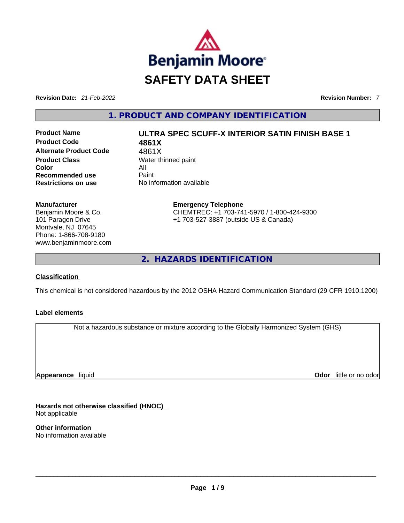

**Revision Date:** *21-Feb-2022* **Revision Number:** *7*

**1. PRODUCT AND COMPANY IDENTIFICATION** 

**Product Code 4861X Alternate Product Code** 4861X **Product Class Water thinned paint Color** All<br> **Recommended use** Paint **Recommended use Restrictions on use** No information available

## **Product Name ULTRA SPEC SCUFF-X INTERIOR SATIN FINISH BASE 1**

**Manufacturer** Benjamin Moore & Co. 101 Paragon Drive Montvale, NJ 07645 Phone: 1-866-708-9180 www.benjaminmoore.com **Emergency Telephone** CHEMTREC: +1 703-741-5970 / 1-800-424-9300 +1 703-527-3887 (outside US & Canada)

**2. HAZARDS IDENTIFICATION** 

## **Classification**

This chemical is not considered hazardous by the 2012 OSHA Hazard Communication Standard (29 CFR 1910.1200)

## **Label elements**

Not a hazardous substance or mixture according to the Globally Harmonized System (GHS)

**Appearance** liquid

**Odor** little or no odor

**Hazards not otherwise classified (HNOC)**  Not applicable

**Other information**  No information available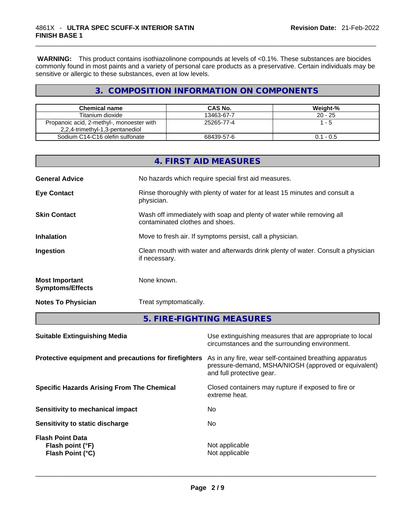**WARNING:** This product contains isothiazolinone compounds at levels of <0.1%. These substances are biocides commonly found in most paints and a variety of personal care products as a preservative. Certain individuals may be sensitive or allergic to these substances, even at low levels.

## **3. COMPOSITION INFORMATION ON COMPONENTS**

| <b>Chemical name</b>                      | CAS No.    | Weight-%    |
|-------------------------------------------|------------|-------------|
| Titanium dioxide                          | 13463-67-7 | $20 - 25$   |
| Propanoic acid, 2-methyl-, monoester with | 25265-77-4 | - 5         |
| 2,2,4-trimethyl-1,3-pentanediol           |            |             |
| Sodium C14-C16 olefin sulfonate           | 68439-57-6 | $0.1 - 0.5$ |

|                                                  | 4. FIRST AID MEASURES                                                                                    |
|--------------------------------------------------|----------------------------------------------------------------------------------------------------------|
| <b>General Advice</b>                            | No hazards which require special first aid measures.                                                     |
| <b>Eye Contact</b>                               | Rinse thoroughly with plenty of water for at least 15 minutes and consult a<br>physician.                |
| <b>Skin Contact</b>                              | Wash off immediately with soap and plenty of water while removing all<br>contaminated clothes and shoes. |
| <b>Inhalation</b>                                | Move to fresh air. If symptoms persist, call a physician.                                                |
| Ingestion                                        | Clean mouth with water and afterwards drink plenty of water. Consult a physician<br>if necessary.        |
| <b>Most Important</b><br><b>Symptoms/Effects</b> | None known.                                                                                              |
| <b>Notes To Physician</b>                        | Treat symptomatically.                                                                                   |

**5. FIRE-FIGHTING MEASURES** 

| <b>Suitable Extinguishing Media</b>                             | Use extinguishing measures that are appropriate to local<br>circumstances and the surrounding environment.                                   |
|-----------------------------------------------------------------|----------------------------------------------------------------------------------------------------------------------------------------------|
| Protective equipment and precautions for firefighters           | As in any fire, wear self-contained breathing apparatus<br>pressure-demand, MSHA/NIOSH (approved or equivalent)<br>and full protective gear. |
| <b>Specific Hazards Arising From The Chemical</b>               | Closed containers may rupture if exposed to fire or<br>extreme heat.                                                                         |
| <b>Sensitivity to mechanical impact</b>                         | No                                                                                                                                           |
| Sensitivity to static discharge                                 | No.                                                                                                                                          |
| <b>Flash Point Data</b><br>Flash point (°F)<br>Flash Point (°C) | Not applicable<br>Not applicable                                                                                                             |
|                                                                 |                                                                                                                                              |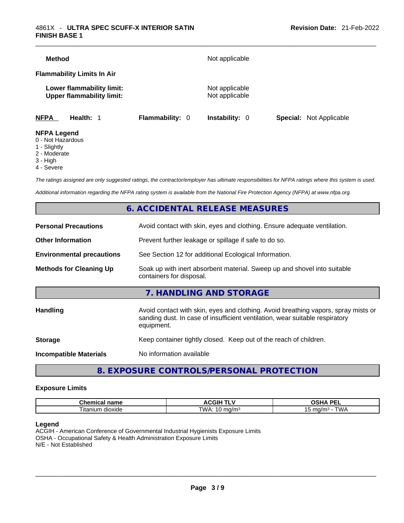| <b>Method</b>      |                                                               |                 | Not applicable                   |                                |
|--------------------|---------------------------------------------------------------|-----------------|----------------------------------|--------------------------------|
|                    | <b>Flammability Limits In Air</b>                             |                 |                                  |                                |
|                    | Lower flammability limit:<br><b>Upper flammability limit:</b> |                 | Not applicable<br>Not applicable |                                |
| <b>NFPA</b>        | Health: 1                                                     | Flammability: 0 | <b>Instability: 0</b>            | <b>Special:</b> Not Applicable |
| <b>NFPA Legend</b> |                                                               |                 |                                  |                                |

- 0 Not Hazardous
- 1 Slightly
- 2 Moderate
- 3 High
- 4 Severe

*The ratings assigned are only suggested ratings, the contractor/employer has ultimate responsibilities for NFPA ratings where this system is used.* 

*Additional information regarding the NFPA rating system is available from the National Fire Protection Agency (NFPA) at www.nfpa.org.* 

## **6. ACCIDENTAL RELEASE MEASURES**

| <b>Personal Precautions</b>      | Avoid contact with skin, eyes and clothing. Ensure adequate ventilation.                                                                                                         |
|----------------------------------|----------------------------------------------------------------------------------------------------------------------------------------------------------------------------------|
| <b>Other Information</b>         | Prevent further leakage or spillage if safe to do so.                                                                                                                            |
| <b>Environmental precautions</b> | See Section 12 for additional Ecological Information.                                                                                                                            |
| <b>Methods for Cleaning Up</b>   | Soak up with inert absorbent material. Sweep up and shovel into suitable<br>containers for disposal.                                                                             |
|                                  | 7. HANDLING AND STORAGE                                                                                                                                                          |
| <b>Handling</b>                  | Avoid contact with skin, eyes and clothing. Avoid breathing vapors, spray mists or<br>sanding dust. In case of insufficient ventilation, wear suitable respiratory<br>equipment. |
| <b>Storage</b>                   | Keep container tightly closed. Keep out of the reach of children.                                                                                                                |
| <b>Incompatible Materials</b>    | No information available                                                                                                                                                         |
|                                  |                                                                                                                                                                                  |

## **8. EXPOSURE CONTROLS/PERSONAL PROTECTION**

#### **Exposure Limits**

| Chemic<br>name<br>.  | <b>ACGIH <sup>-</sup></b><br>.          | <b>DEI</b><br>n<br>--<br>-- |
|----------------------|-----------------------------------------|-----------------------------|
| l itanium<br>dioxide | TWA.<br>ma/m<br>$\cdot$ in m<br>$\cdot$ | ma/m∘<br><i>UN ¤</i><br>~   |

#### **Legend**

ACGIH - American Conference of Governmental Industrial Hygienists Exposure Limits OSHA - Occupational Safety & Health Administration Exposure Limits N/E - Not Established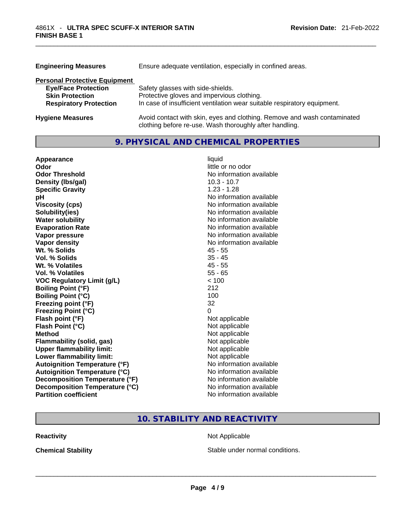| <b>Engineering Measures</b>          | Ensure adequate ventilation, especially in confined areas.                                                                          |
|--------------------------------------|-------------------------------------------------------------------------------------------------------------------------------------|
| <b>Personal Protective Equipment</b> |                                                                                                                                     |
| <b>Eye/Face Protection</b>           | Safety glasses with side-shields.                                                                                                   |
| <b>Skin Protection</b>               | Protective gloves and impervious clothing.                                                                                          |
| <b>Respiratory Protection</b>        | In case of insufficient ventilation wear suitable respiratory equipment.                                                            |
| <b>Hygiene Measures</b>              | Avoid contact with skin, eyes and clothing. Remove and wash contaminated<br>clothing before re-use. Wash thoroughly after handling. |

## **9. PHYSICAL AND CHEMICAL PROPERTIES**

| Appearance                           | liquid                   |
|--------------------------------------|--------------------------|
| Odor                                 | little or no odor        |
| <b>Odor Threshold</b>                | No information available |
| Density (Ibs/gal)                    | $10.3 - 10.7$            |
| <b>Specific Gravity</b>              | $1.23 - 1.28$            |
| рH                                   | No information available |
| <b>Viscosity (cps)</b>               | No information available |
| Solubility(ies)                      | No information available |
| <b>Water solubility</b>              | No information available |
| <b>Evaporation Rate</b>              | No information available |
| Vapor pressure                       | No information available |
| Vapor density                        | No information available |
| Wt. % Solids                         | $45 - 55$                |
| Vol. % Solids                        | $35 - 45$                |
| Wt. % Volatiles                      | $45 - 55$                |
| Vol. % Volatiles                     | $55 - 65$                |
| <b>VOC Regulatory Limit (g/L)</b>    | < 100                    |
| <b>Boiling Point (°F)</b>            | 212                      |
| <b>Boiling Point (°C)</b>            | 100                      |
| Freezing point (°F)                  | 32                       |
| <b>Freezing Point (°C)</b>           | 0                        |
| Flash point (°F)                     | Not applicable           |
| Flash Point (°C)                     | Not applicable           |
| <b>Method</b>                        | Not applicable           |
| <b>Flammability (solid, gas)</b>     | Not applicable           |
| <b>Upper flammability limit:</b>     | Not applicable           |
| <b>Lower flammability limit:</b>     | Not applicable           |
| <b>Autoignition Temperature (°F)</b> | No information available |
| <b>Autoignition Temperature (°C)</b> | No information available |
| Decomposition Temperature (°F)       | No information available |
| Decomposition Temperature (°C)       | No information available |
| <b>Partition coefficient</b>         | No information available |

## **10. STABILITY AND REACTIVITY**

**Reactivity Not Applicable** 

**Chemical Stability Stable under normal conditions. Chemical Stability Stable under normal conditions. Chemical Stability Chemical Stability Chemical Stability Chemical Stability Chemical Stability Chemic**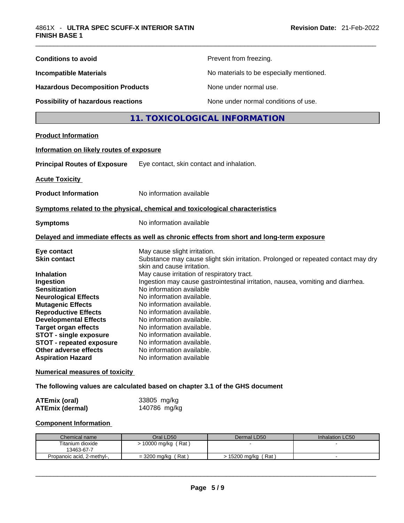| <b>Conditions to avoid</b>                                                                                                                                                                                                                                                                                                                                                                                              |                                                                                                                                                                                                                                                                                                                                                                                                          | Prevent from freezing.                                                                                                                                               |                 |
|-------------------------------------------------------------------------------------------------------------------------------------------------------------------------------------------------------------------------------------------------------------------------------------------------------------------------------------------------------------------------------------------------------------------------|----------------------------------------------------------------------------------------------------------------------------------------------------------------------------------------------------------------------------------------------------------------------------------------------------------------------------------------------------------------------------------------------------------|----------------------------------------------------------------------------------------------------------------------------------------------------------------------|-----------------|
| <b>Incompatible Materials</b>                                                                                                                                                                                                                                                                                                                                                                                           |                                                                                                                                                                                                                                                                                                                                                                                                          | No materials to be especially mentioned.                                                                                                                             |                 |
| <b>Hazardous Decomposition Products</b>                                                                                                                                                                                                                                                                                                                                                                                 |                                                                                                                                                                                                                                                                                                                                                                                                          | None under normal use.                                                                                                                                               |                 |
| Possibility of hazardous reactions                                                                                                                                                                                                                                                                                                                                                                                      |                                                                                                                                                                                                                                                                                                                                                                                                          | None under normal conditions of use.                                                                                                                                 |                 |
|                                                                                                                                                                                                                                                                                                                                                                                                                         |                                                                                                                                                                                                                                                                                                                                                                                                          | 11. TOXICOLOGICAL INFORMATION                                                                                                                                        |                 |
|                                                                                                                                                                                                                                                                                                                                                                                                                         |                                                                                                                                                                                                                                                                                                                                                                                                          |                                                                                                                                                                      |                 |
| <b>Product Information</b>                                                                                                                                                                                                                                                                                                                                                                                              |                                                                                                                                                                                                                                                                                                                                                                                                          |                                                                                                                                                                      |                 |
| Information on likely routes of exposure                                                                                                                                                                                                                                                                                                                                                                                |                                                                                                                                                                                                                                                                                                                                                                                                          |                                                                                                                                                                      |                 |
| <b>Principal Routes of Exposure</b>                                                                                                                                                                                                                                                                                                                                                                                     | Eye contact, skin contact and inhalation.                                                                                                                                                                                                                                                                                                                                                                |                                                                                                                                                                      |                 |
| <b>Acute Toxicity</b>                                                                                                                                                                                                                                                                                                                                                                                                   |                                                                                                                                                                                                                                                                                                                                                                                                          |                                                                                                                                                                      |                 |
| <b>Product Information</b>                                                                                                                                                                                                                                                                                                                                                                                              | No information available                                                                                                                                                                                                                                                                                                                                                                                 |                                                                                                                                                                      |                 |
| Symptoms related to the physical, chemical and toxicological characteristics                                                                                                                                                                                                                                                                                                                                            |                                                                                                                                                                                                                                                                                                                                                                                                          |                                                                                                                                                                      |                 |
| <b>Symptoms</b>                                                                                                                                                                                                                                                                                                                                                                                                         | No information available                                                                                                                                                                                                                                                                                                                                                                                 |                                                                                                                                                                      |                 |
| Delayed and immediate effects as well as chronic effects from short and long-term exposure                                                                                                                                                                                                                                                                                                                              |                                                                                                                                                                                                                                                                                                                                                                                                          |                                                                                                                                                                      |                 |
| Eye contact<br><b>Skin contact</b><br><b>Inhalation</b><br>Ingestion<br><b>Sensitization</b><br><b>Neurological Effects</b><br><b>Mutagenic Effects</b><br><b>Reproductive Effects</b><br><b>Developmental Effects</b><br><b>Target organ effects</b><br><b>STOT - single exposure</b><br><b>STOT - repeated exposure</b><br>Other adverse effects<br><b>Aspiration Hazard</b><br><b>Numerical measures of toxicity</b> | May cause slight irritation.<br>skin and cause irritation.<br>May cause irritation of respiratory tract.<br>No information available<br>No information available.<br>No information available.<br>No information available.<br>No information available.<br>No information available.<br>No information available.<br>No information available.<br>No information available.<br>No information available | Substance may cause slight skin irritation. Prolonged or repeated contact may dry<br>Ingestion may cause gastrointestinal irritation, nausea, vomiting and diarrhea. |                 |
|                                                                                                                                                                                                                                                                                                                                                                                                                         |                                                                                                                                                                                                                                                                                                                                                                                                          |                                                                                                                                                                      |                 |
| The following values are calculated based on chapter 3.1 of the GHS document                                                                                                                                                                                                                                                                                                                                            |                                                                                                                                                                                                                                                                                                                                                                                                          |                                                                                                                                                                      |                 |
| <b>ATEmix (oral)</b><br><b>ATEmix (dermal)</b>                                                                                                                                                                                                                                                                                                                                                                          | 33805 mg/kg<br>140786 mg/kg                                                                                                                                                                                                                                                                                                                                                                              |                                                                                                                                                                      |                 |
| <b>Component Information</b>                                                                                                                                                                                                                                                                                                                                                                                            |                                                                                                                                                                                                                                                                                                                                                                                                          |                                                                                                                                                                      |                 |
| Chemical name                                                                                                                                                                                                                                                                                                                                                                                                           | Oral LD50                                                                                                                                                                                                                                                                                                                                                                                                | Dermal LD50                                                                                                                                                          | Inhalation LC50 |
| Titanium dioxide<br>13463-67-7                                                                                                                                                                                                                                                                                                                                                                                          | > 10000 mg/kg (Rat)                                                                                                                                                                                                                                                                                                                                                                                      |                                                                                                                                                                      |                 |
| Propanoic acid, 2-methyl-,                                                                                                                                                                                                                                                                                                                                                                                              | $=$ 3200 mg/kg (Rat)                                                                                                                                                                                                                                                                                                                                                                                     | > 15200 mg/kg (Rat)                                                                                                                                                  |                 |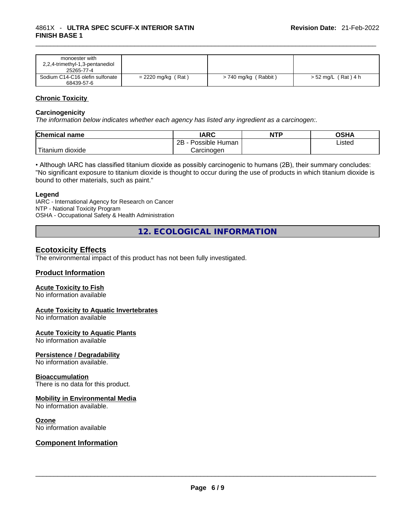| monoester with                  |                      |                      |                     |
|---------------------------------|----------------------|----------------------|---------------------|
| 2,2,4-trimethyl-1,3-pentanediol |                      |                      |                     |
| 25265-77-4                      |                      |                      |                     |
| Sodium C14-C16 olefin sulfonate | $= 2220$ mg/kg (Rat) | > 740 mg/kg (Rabbit) | > 52 mg/L (Rat) 4 h |
| 68439-57-6                      |                      |                      |                     |

#### **Chronic Toxicity**

#### **Carcinogenicity**

*The information below indicates whether each agency has listed any ingredient as a carcinogen:.* 

| <b>Chemical name</b>  | IARC                 | <b>NTP</b> | OSHA   |
|-----------------------|----------------------|------------|--------|
|                       | 2B<br>Possible Human |            | Listed |
| Titanium 、<br>dioxide | Carcinogen           |            |        |

• Although IARC has classified titanium dioxide as possibly carcinogenic to humans (2B), their summary concludes: "No significant exposure to titanium dioxide is thought to occur during the use of products in which titanium dioxide is bound to other materials, such as paint."

#### **Legend**

IARC - International Agency for Research on Cancer NTP - National Toxicity Program OSHA - Occupational Safety & Health Administration

**12. ECOLOGICAL INFORMATION** 

## **Ecotoxicity Effects**

The environmental impact of this product has not been fully investigated.

#### **Product Information**

#### **Acute Toxicity to Fish**

No information available

#### **Acute Toxicity to Aquatic Invertebrates**

No information available

#### **Acute Toxicity to Aquatic Plants**

No information available

#### **Persistence / Degradability**

No information available.

#### **Bioaccumulation**

There is no data for this product.

#### **Mobility in Environmental Media**

No information available.

#### **Ozone**

# No information available \_\_\_\_\_\_\_\_\_\_\_\_\_\_\_\_\_\_\_\_\_\_\_\_\_\_\_\_\_\_\_\_\_\_\_\_\_\_\_\_\_\_\_\_\_\_\_\_\_\_\_\_\_\_\_\_\_\_\_\_\_\_\_\_\_\_\_\_\_\_\_\_\_\_\_\_\_\_\_\_\_\_\_\_\_\_\_\_\_\_\_\_\_ **Component Information**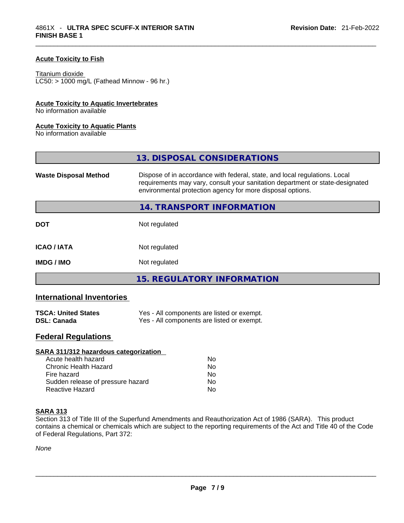### **Acute Toxicity to Fish**

#### Titanium dioxide

 $LCS0: > 1000$  mg/L (Fathead Minnow - 96 hr.)

#### **Acute Toxicity to Aquatic Invertebrates**

No information available

#### **Acute Toxicity to Aquatic Plants**

No information available

|                              | 13. DISPOSAL CONSIDERATIONS                                                                                                                                                                                               |
|------------------------------|---------------------------------------------------------------------------------------------------------------------------------------------------------------------------------------------------------------------------|
| <b>Waste Disposal Method</b> | Dispose of in accordance with federal, state, and local regulations. Local<br>requirements may vary, consult your sanitation department or state-designated<br>environmental protection agency for more disposal options. |
|                              | 14. TRANSPORT INFORMATION                                                                                                                                                                                                 |
| <b>DOT</b>                   | Not regulated                                                                                                                                                                                                             |
| <b>ICAO/IATA</b>             | Not regulated                                                                                                                                                                                                             |
| <b>IMDG / IMO</b>            | Not regulated                                                                                                                                                                                                             |
|                              | 15. REGULATORY INFORMATION                                                                                                                                                                                                |

## **International Inventories**

| <b>TSCA: United States</b> | Yes - All components are listed or exempt. |
|----------------------------|--------------------------------------------|
| <b>DSL: Canada</b>         | Yes - All components are listed or exempt. |

## **Federal Regulations**

| <b>SARA 311/312 hazardous categorization</b> |    |  |
|----------------------------------------------|----|--|
| Acute health hazard                          | Nο |  |
| Chronic Health Hazard                        | No |  |
| Fire hazard                                  | No |  |
| Sudden release of pressure hazard            | No |  |
| Reactive Hazard                              | No |  |

#### **SARA 313**

Section 313 of Title III of the Superfund Amendments and Reauthorization Act of 1986 (SARA). This product contains a chemical or chemicals which are subject to the reporting requirements of the Act and Title 40 of the Code of Federal Regulations, Part 372:

*None*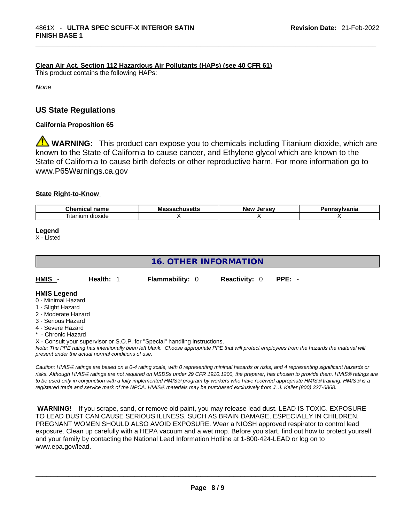### **Clean Air Act,Section 112 Hazardous Air Pollutants (HAPs) (see 40 CFR 61)**

This product contains the following HAPs:

*None*

## **US State Regulations**

#### **California Proposition 65**

**WARNING:** This product can expose you to chemicals including Titanium dioxide, which are known to the State of California to cause cancer, and Ethylene glycol which are known to the State of California to cause birth defects or other reproductive harm. For more information go to www.P65Warnings.ca.gov

#### **State Right-to-Know**

| $\sim$<br>$  -$<br>--<br><br>чанк              | Мô | lorcov<br>Nev | -----------<br>нс |
|------------------------------------------------|----|---------------|-------------------|
| $\overline{\phantom{a}}$<br>dioxide<br>ıtanıum |    |               |                   |

**Legend**

X - Listed

## **16. OTHER INFORMATION**

| HMIS                    | Health: 1 | <b>Flammability: 0</b> | <b>Reactivity: 0</b> | PPE: - |
|-------------------------|-----------|------------------------|----------------------|--------|
| <b>HMIS Legend</b><br>. |           |                        |                      |        |

- 0 Minimal Hazard
- 1 Slight Hazard
- 2 Moderate Hazard
- 3 Serious Hazard
- 4 Severe Hazard
- \* Chronic Hazard

X - Consult your supervisor or S.O.P. for "Special" handling instructions.

Note: The PPE rating has intentionally been left blank. Choose appropriate PPE that will protect employees from the hazards the material will *present under the actual normal conditions of use.* 

*Caution: HMISÒ ratings are based on a 0-4 rating scale, with 0 representing minimal hazards or risks, and 4 representing significant hazards or risks. Although HMISÒ ratings are not required on MSDSs under 29 CFR 1910.1200, the preparer, has chosen to provide them. HMISÒ ratings are to be used only in conjunction with a fully implemented HMISÒ program by workers who have received appropriate HMISÒ training. HMISÒ is a registered trade and service mark of the NPCA. HMISÒ materials may be purchased exclusively from J. J. Keller (800) 327-6868.* 

 **WARNING!** If you scrape, sand, or remove old paint, you may release lead dust. LEAD IS TOXIC. EXPOSURE TO LEAD DUST CAN CAUSE SERIOUS ILLNESS, SUCH AS BRAIN DAMAGE, ESPECIALLY IN CHILDREN. PREGNANT WOMEN SHOULD ALSO AVOID EXPOSURE.Wear a NIOSH approved respirator to control lead exposure. Clean up carefully with a HEPA vacuum and a wet mop. Before you start, find out how to protect yourself and your family by contacting the National Lead Information Hotline at 1-800-424-LEAD or log on to www.epa.gov/lead.